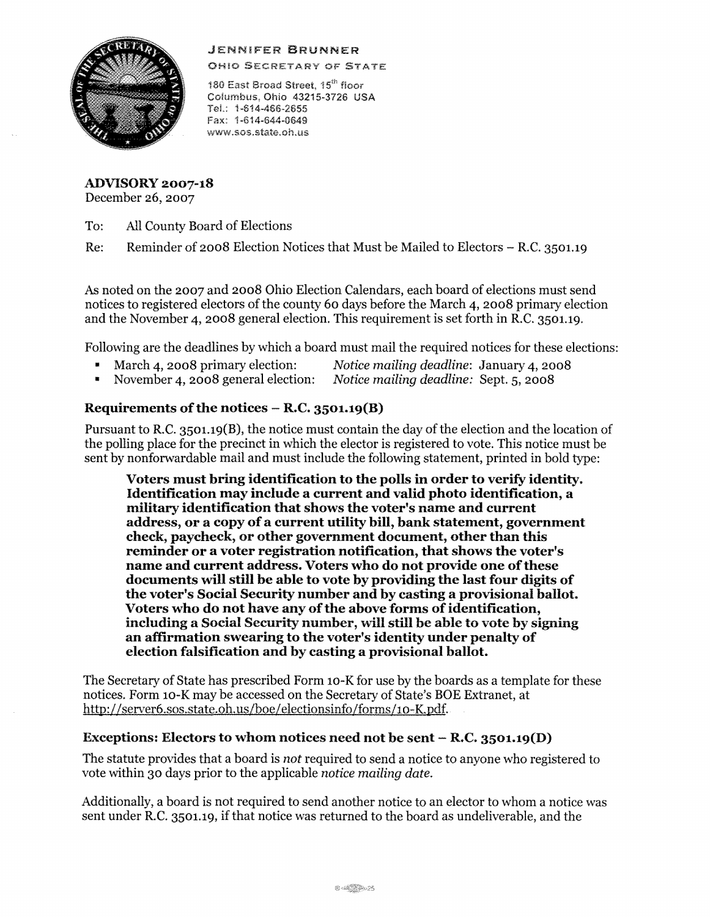

JENNiFER **BRUNNER** 

OH!O SECRETARY OF STATE

180 East Broad Street, 15<sup>th</sup> floor Columbus, Ohio 43215-3726 USA TeL: 1-614-466-2655 Fax: 1-814-644-0649 www.sos.state.oh.us

**ADVISORY 2007-18**  December 26, 2007

To: All County Board of Elections

Re: Reminder of 2008 Election Notices that Must be Mailed to Electors - R.C. 3501.19

As noted on the 2007 and 2008 Ohio Election Calendars, each board of elections must send notices to registered electors of the county 60 days before the March 4, 2008 primary election and the November 4, 2008 general election. This requirement is set forth in R.C. 3501.19.

Following are the deadlines by which a board must mail the required notices for these elections:

- March 4, 2008 primary election: *Notice mailing deadline:* January 4, 2008
	-
- November 4, 2008 general election: *Notice mailing deadline:* Sept. 5, 2008

## Requirements of the notices – R.C. 3501.19(B)

Pursuant to R.C. 3501.19(B), the notice must contain the day of the election and the location of the polling place for the precinct in which the elector is registered to vote. This notice must be sent by nonforwardable mail and must include the following statement, printed in bold type:

**Voters must bring identification to the polls** in **order to verify identity. Identification may include a current and valid photo identification, a military identification that shows the voter's name and current address, or a copy ofa current utility bill, bank statement, government check, paycheck, or other government document, other than this reminder or a voter registration notification, that shows the voter's name and current address. Voters who do not provide one ofthese documents will still be able to vote byproviding the last four digits of the voter's Social Security number and by casting a provisional ballot.**  Voters who do not have any of the above forms of identification, including a Social Security number, will still be able to vote by signing **an affirmation swearing to the voter's identity under penalty of election falsification and by casting a provisional ballot.** 

The Secretary of State has prescribed Form 10-K for use by the boards as a template for these notices. Form 10-K may be accessed on the Secretary of State's BOE Extranet, at http://server6.sos.state.oh.us/boe/electionsinfo/forms/10-K.pdf.

## **Exceptions: Electors to whom notices need not be sent** - **R.C. 3501.19(D)**

The statute provides that a board is *not* required to send a notice to anyone who registered to vote within 30 days prior to the applicable *notice mailing date.* 

Additionally, a board is not required to send another notice to an elector to whom a notice was sent under RC. 3501.19, if that notice was returned to the board as undeliverable, and the